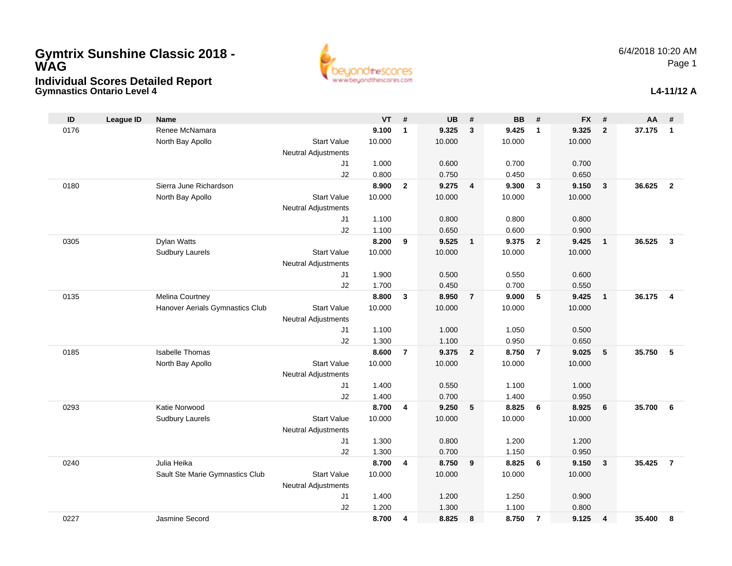

| ID   | <b>League ID</b> | <b>Name</b>                     |                            | <b>VT</b>      | #              | <b>UB</b>      | #              | <b>BB</b>      | #              | <b>FX</b>      | #                       | AA     | #                       |
|------|------------------|---------------------------------|----------------------------|----------------|----------------|----------------|----------------|----------------|----------------|----------------|-------------------------|--------|-------------------------|
| 0176 |                  | Renee McNamara                  |                            | 9.100          | $\mathbf{1}$   | 9.325          | 3              | 9.425          | $\mathbf{1}$   | 9.325          | $\overline{2}$          | 37.175 | $\mathbf{1}$            |
|      |                  | North Bay Apollo                | <b>Start Value</b>         | 10.000         |                | 10.000         |                | 10.000         |                | 10.000         |                         |        |                         |
|      |                  |                                 | <b>Neutral Adjustments</b> |                |                |                |                |                |                |                |                         |        |                         |
|      |                  |                                 | J1                         | 1.000          |                | 0.600          |                | 0.700          |                | 0.700          |                         |        |                         |
|      |                  |                                 | J2                         | 0.800          |                | 0.750          |                | 0.450          |                | 0.650          |                         |        |                         |
| 0180 |                  | Sierra June Richardson          |                            | 8.900          | $\overline{2}$ | 9.275          | $\overline{4}$ | 9.300          | $\mathbf{3}$   | 9.150          | $\overline{\mathbf{3}}$ | 36.625 | $\overline{2}$          |
|      |                  | North Bay Apollo                | <b>Start Value</b>         | 10.000         |                | 10.000         |                | 10.000         |                | 10.000         |                         |        |                         |
|      |                  |                                 | <b>Neutral Adjustments</b> |                |                |                |                |                |                |                |                         |        |                         |
|      |                  |                                 | J1                         | 1.100          |                | 0.800          |                | 0.800          |                | 0.800          |                         |        |                         |
|      |                  |                                 | J2                         | 1.100          |                | 0.650          |                | 0.600          |                | 0.900          |                         |        |                         |
| 0305 |                  | Dylan Watts                     |                            | 8.200          | 9              | 9.525          | $\mathbf{1}$   | 9.375          | $\overline{2}$ | 9.425          | $\overline{1}$          | 36.525 | $\overline{3}$          |
|      |                  | <b>Sudbury Laurels</b>          | <b>Start Value</b>         | 10.000         |                | 10.000         |                | 10.000         |                | 10.000         |                         |        |                         |
|      |                  |                                 | <b>Neutral Adjustments</b> |                |                |                |                |                |                |                |                         |        |                         |
|      |                  |                                 | J1                         | 1.900          |                | 0.500          |                | 0.550          |                | 0.600          |                         |        |                         |
|      |                  |                                 | J2                         | 1.700          |                | 0.450          |                | 0.700          |                | 0.550          |                         |        |                         |
| 0135 |                  | Melina Courtney                 |                            | 8.800          | 3              | 8.950          | $\overline{7}$ | 9.000          | 5              | 9.425          | $\overline{\mathbf{1}}$ | 36.175 | $\overline{\mathbf{4}}$ |
|      |                  | Hanover Aerials Gymnastics Club | <b>Start Value</b>         | 10.000         |                | 10.000         |                | 10.000         |                | 10.000         |                         |        |                         |
|      |                  |                                 | <b>Neutral Adjustments</b> |                |                |                |                |                |                |                |                         |        |                         |
|      |                  |                                 | J1                         | 1.100          |                | 1.000          |                | 1.050          |                | 0.500          |                         |        |                         |
| 0185 |                  | <b>Isabelle Thomas</b>          | J2                         | 1.300<br>8.600 | $\overline{7}$ | 1.100<br>9.375 | $\overline{2}$ | 0.950<br>8.750 | $\overline{7}$ | 0.650<br>9.025 | 5                       | 35.750 | 5                       |
|      |                  |                                 | <b>Start Value</b>         | 10.000         |                | 10.000         |                | 10.000         |                |                |                         |        |                         |
|      |                  | North Bay Apollo                | <b>Neutral Adjustments</b> |                |                |                |                |                |                | 10.000         |                         |        |                         |
|      |                  |                                 | J <sub>1</sub>             | 1.400          |                | 0.550          |                | 1.100          |                | 1.000          |                         |        |                         |
|      |                  |                                 | J2                         | 1.400          |                | 0.700          |                | 1.400          |                | 0.950          |                         |        |                         |
| 0293 |                  | Katie Norwood                   |                            | 8.700          | 4              | 9.250          | 5              | 8.825          | 6              | 8.925          | 6                       | 35.700 | 6                       |
|      |                  | <b>Sudbury Laurels</b>          | <b>Start Value</b>         | 10.000         |                | 10.000         |                | 10.000         |                | 10.000         |                         |        |                         |
|      |                  |                                 | Neutral Adjustments        |                |                |                |                |                |                |                |                         |        |                         |
|      |                  |                                 | J <sub>1</sub>             | 1.300          |                | 0.800          |                | 1.200          |                | 1.200          |                         |        |                         |
|      |                  |                                 | J2                         | 1.300          |                | 0.700          |                | 1.150          |                | 0.950          |                         |        |                         |
| 0240 |                  | Julia Heika                     |                            | 8.700          | 4              | 8.750          | 9              | 8.825          | 6              | 9.150          | $\mathbf{3}$            | 35.425 | $\overline{7}$          |
|      |                  | Sault Ste Marie Gymnastics Club | <b>Start Value</b>         | 10.000         |                | 10.000         |                | 10.000         |                | 10.000         |                         |        |                         |
|      |                  |                                 | <b>Neutral Adjustments</b> |                |                |                |                |                |                |                |                         |        |                         |
|      |                  |                                 | J1                         | 1.400          |                | 1.200          |                | 1.250          |                | 0.900          |                         |        |                         |
|      |                  |                                 | J2                         | 1.200          |                | 1.300          |                | 1.100          |                | 0.800          |                         |        |                         |
| 0227 |                  | Jasmine Secord                  |                            | 8.700          | 4              | 8.825          | 8              | 8.750          | $\overline{7}$ | 9.125          | 4                       | 35.400 | 8                       |
|      |                  |                                 |                            |                |                |                |                |                |                |                |                         |        |                         |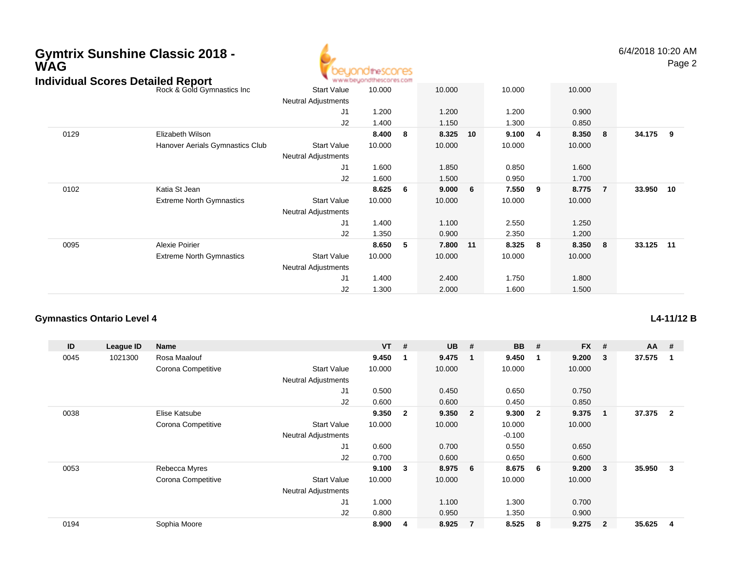

6/4/2018 10:20 AMPage 2

| Individual Scores Detailed Report |                                 | ъ.                         | www.beyondthescores.com |    |        |     |        |   |        |                |           |  |
|-----------------------------------|---------------------------------|----------------------------|-------------------------|----|--------|-----|--------|---|--------|----------------|-----------|--|
|                                   | Rock & Gold Gymnastics Inc      | <b>Start Value</b>         | 10.000                  |    | 10.000 |     | 10.000 |   | 10.000 |                |           |  |
|                                   |                                 | <b>Neutral Adjustments</b> |                         |    |        |     |        |   |        |                |           |  |
|                                   |                                 | J1                         | 1.200                   |    | 1.200  |     | 1.200  |   | 0.900  |                |           |  |
|                                   |                                 | J2                         | 1.400                   |    | 1.150  |     | 1.300  |   | 0.850  |                |           |  |
| 0129                              | Elizabeth Wilson                |                            | 8.400                   | 8  | 8.325  | 10  | 9.100  | 4 | 8.350  | 8              | 34.175 9  |  |
|                                   | Hanover Aerials Gymnastics Club | <b>Start Value</b>         | 10.000                  |    | 10.000 |     | 10.000 |   | 10.000 |                |           |  |
|                                   |                                 | <b>Neutral Adjustments</b> |                         |    |        |     |        |   |        |                |           |  |
|                                   |                                 | J1                         | 1.600                   |    | 1.850  |     | 0.850  |   | 1.600  |                |           |  |
|                                   |                                 | J <sub>2</sub>             | 1.600                   |    | 1.500  |     | 0.950  |   | 1.700  |                |           |  |
| 0102                              | Katia St Jean                   |                            | 8.625                   | -6 | 9.000  | - 6 | 7.550  | 9 | 8.775  | $\overline{7}$ | 33.950 10 |  |
|                                   | <b>Extreme North Gymnastics</b> | <b>Start Value</b>         | 10.000                  |    | 10.000 |     | 10.000 |   | 10.000 |                |           |  |
|                                   |                                 | <b>Neutral Adjustments</b> |                         |    |        |     |        |   |        |                |           |  |
|                                   |                                 | J1                         | 1.400                   |    | 1.100  |     | 2.550  |   | 1.250  |                |           |  |
|                                   |                                 | J <sub>2</sub>             | 1.350                   |    | 0.900  |     | 2.350  |   | 1.200  |                |           |  |
| 0095                              | <b>Alexie Poirier</b>           |                            | 8.650                   | 5  | 7.800  | 11  | 8.325  | 8 | 8.350  | 8              | 33.125 11 |  |
|                                   | <b>Extreme North Gymnastics</b> | <b>Start Value</b>         | 10.000                  |    | 10.000 |     | 10.000 |   | 10.000 |                |           |  |
|                                   |                                 | <b>Neutral Adjustments</b> |                         |    |        |     |        |   |        |                |           |  |
|                                   |                                 | J1                         | 1.400                   |    | 2.400  |     | 1.750  |   | 1.800  |                |           |  |
|                                   |                                 | J <sub>2</sub>             | 1.300                   |    | 2.000  |     | 1.600  |   | 1.500  |                |           |  |

#### **Gymnastics Ontario Level 4**

| ID   | League ID | Name               |                            | $VT$ # |                         | <b>UB</b> | #                       | <b>BB</b> | #              | <b>FX</b> | #              | $AA$ # |                |
|------|-----------|--------------------|----------------------------|--------|-------------------------|-----------|-------------------------|-----------|----------------|-----------|----------------|--------|----------------|
| 0045 | 1021300   | Rosa Maalouf       |                            | 9.450  |                         | 9.475     | -1                      | 9.450     | -1             | 9.200     | 3              | 37.575 |                |
|      |           | Corona Competitive | <b>Start Value</b>         | 10.000 |                         | 10.000    |                         | 10.000    |                | 10.000    |                |        |                |
|      |           |                    | <b>Neutral Adjustments</b> |        |                         |           |                         |           |                |           |                |        |                |
|      |           |                    | J1                         | 0.500  |                         | 0.450     |                         | 0.650     |                | 0.750     |                |        |                |
|      |           |                    | J <sub>2</sub>             | 0.600  |                         | 0.600     |                         | 0.450     |                | 0.850     |                |        |                |
| 0038 |           | Elise Katsube      |                            | 9.350  | $\overline{\mathbf{2}}$ | 9.350     | $\overline{\mathbf{2}}$ | 9.300     | $\overline{2}$ | 9.375     |                | 37.375 | $\overline{2}$ |
|      |           | Corona Competitive | <b>Start Value</b>         | 10.000 |                         | 10.000    |                         | 10.000    |                | 10.000    |                |        |                |
|      |           |                    | <b>Neutral Adjustments</b> |        |                         |           |                         | $-0.100$  |                |           |                |        |                |
|      |           |                    | J1                         | 0.600  |                         | 0.700     |                         | 0.550     |                | 0.650     |                |        |                |
|      |           |                    | J2                         | 0.700  |                         | 0.600     |                         | 0.650     |                | 0.600     |                |        |                |
| 0053 |           | Rebecca Myres      |                            | 9.100  | 3                       | 8.975     | - 6                     | 8.675     | -6             | 9.200     | 3              | 35.950 | 3              |
|      |           | Corona Competitive | <b>Start Value</b>         | 10.000 |                         | 10.000    |                         | 10.000    |                | 10.000    |                |        |                |
|      |           |                    | <b>Neutral Adjustments</b> |        |                         |           |                         |           |                |           |                |        |                |
|      |           |                    | J1                         | 1.000  |                         | 1.100     |                         | 1.300     |                | 0.700     |                |        |                |
|      |           |                    | J <sub>2</sub>             | 0.800  |                         | 0.950     |                         | 1.350     |                | 0.900     |                |        |                |
| 0194 |           | Sophia Moore       |                            | 8.900  | 4                       | 8.925     | $\overline{7}$          | 8.525     | 8              | 9.275     | $\overline{2}$ | 35.625 | 4              |

#### **L4-11/12 B**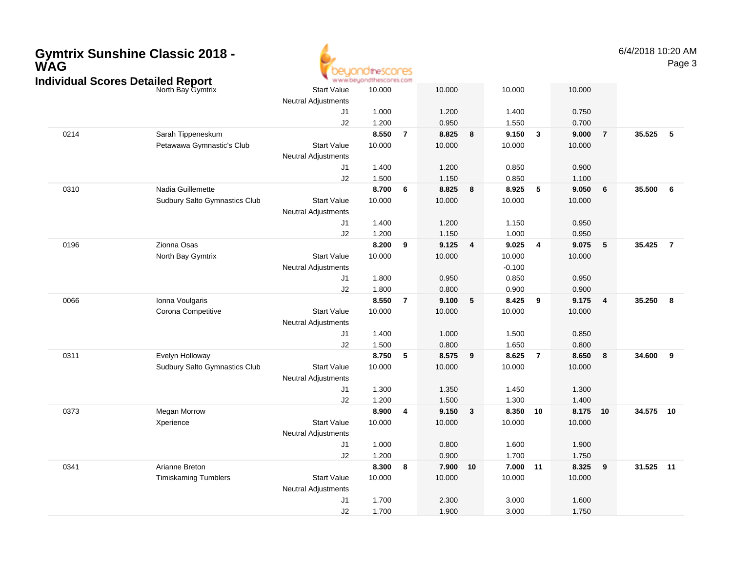| <b>Gymtrix Sunshine Classic 2018 -</b><br><b>WAG</b><br><b>Individual Scores Detailed Report</b> |                                      |                                                  | the SCONES<br>www.beyondthescores.com |                 |        |                         |          |                |        |                | 6/4/2018 10:20 AM | Page 3                  |
|--------------------------------------------------------------------------------------------------|--------------------------------------|--------------------------------------------------|---------------------------------------|-----------------|--------|-------------------------|----------|----------------|--------|----------------|-------------------|-------------------------|
|                                                                                                  | North Bay Gymtrix                    | <b>Start Value</b><br><b>Neutral Adjustments</b> | 10.000                                |                 | 10.000 |                         | 10.000   |                | 10.000 |                |                   |                         |
|                                                                                                  |                                      | J1                                               | 1.000                                 |                 | 1.200  |                         | 1.400    |                | 0.750  |                |                   |                         |
|                                                                                                  |                                      | J2                                               | 1.200                                 |                 | 0.950  |                         | 1.550    |                | 0.700  |                |                   |                         |
| 0214                                                                                             | Sarah Tippeneskum                    |                                                  | 8.550                                 | $\overline{7}$  | 8.825  | 8                       | 9.150    | $\mathbf{3}$   | 9.000  | $\overline{7}$ | 35.525            | $-5$                    |
|                                                                                                  | Petawawa Gymnastic's Club            | <b>Start Value</b><br><b>Neutral Adjustments</b> | 10.000                                |                 | 10.000 |                         | 10.000   |                | 10.000 |                |                   |                         |
|                                                                                                  |                                      | J1                                               | 1.400                                 |                 | 1.200  |                         | 0.850    |                | 0.900  |                |                   |                         |
|                                                                                                  |                                      | J2                                               | 1.500                                 |                 | 1.150  |                         | 0.850    |                | 1.100  |                |                   |                         |
| 0310                                                                                             | Nadia Guillemette                    |                                                  | 8.700                                 | $6\phantom{1}6$ | 8.825  | 8                       | 8.925    | 5              | 9.050  | $\bf 6$        | 35.500            | 6                       |
|                                                                                                  | Sudbury Salto Gymnastics Club        | <b>Start Value</b><br><b>Neutral Adjustments</b> | 10.000                                |                 | 10.000 |                         | 10.000   |                | 10.000 |                |                   |                         |
|                                                                                                  |                                      | J1                                               | 1.400                                 |                 | 1.200  |                         | 1.150    |                | 0.950  |                |                   |                         |
|                                                                                                  |                                      | J2                                               | 1.200                                 |                 | 1.150  |                         | 1.000    |                | 0.950  |                |                   |                         |
| 0196                                                                                             | Zionna Osas                          |                                                  | 8.200                                 | 9               | 9.125  | $\overline{\mathbf{4}}$ | 9.025    | $\overline{4}$ | 9.075  | $\sqrt{5}$     | 35.425            | $\overline{7}$          |
|                                                                                                  | North Bay Gymtrix                    | <b>Start Value</b>                               | 10.000                                |                 | 10.000 |                         | 10.000   |                | 10.000 |                |                   |                         |
|                                                                                                  |                                      | <b>Neutral Adjustments</b>                       |                                       |                 |        |                         | $-0.100$ |                |        |                |                   |                         |
|                                                                                                  |                                      | J1                                               | 1.800                                 |                 | 0.950  |                         | 0.850    |                | 0.950  |                |                   |                         |
|                                                                                                  |                                      | J2                                               | 1.800                                 |                 | 0.800  |                         | 0.900    |                | 0.900  |                |                   |                         |
| 0066                                                                                             | Ionna Voulgaris                      |                                                  | 8.550                                 | $\overline{7}$  | 9.100  | $5\phantom{.0}$         | 8.425    | 9              | 9.175  | $\overline{4}$ | 35.250            | $\overline{\mathbf{8}}$ |
|                                                                                                  | Corona Competitive                   | <b>Start Value</b><br><b>Neutral Adjustments</b> | 10.000                                |                 | 10.000 |                         | 10.000   |                | 10.000 |                |                   |                         |
|                                                                                                  |                                      | J1                                               | 1.400                                 |                 | 1.000  |                         | 1.500    |                | 0.850  |                |                   |                         |
|                                                                                                  |                                      | J2                                               | 1.500                                 |                 | 0.800  |                         | 1.650    |                | 0.800  |                |                   |                         |
| 0311                                                                                             | Evelyn Holloway                      |                                                  | 8.750                                 | 5               | 8.575  | 9                       | 8.625    | $\overline{7}$ | 8.650  | 8              | 34.600            | 9                       |
|                                                                                                  | <b>Sudbury Salto Gymnastics Club</b> | <b>Start Value</b><br><b>Neutral Adjustments</b> | 10.000                                |                 | 10.000 |                         | 10.000   |                | 10.000 |                |                   |                         |
|                                                                                                  |                                      | J1                                               | 1.300                                 |                 | 1.350  |                         | 1.450    |                | 1.300  |                |                   |                         |
|                                                                                                  |                                      | J2                                               | 1.200                                 |                 | 1.500  |                         | 1.300    |                | 1.400  |                |                   |                         |
| 0373                                                                                             | Megan Morrow                         |                                                  | 8.900                                 | 4               | 9.150  | $\mathbf{3}$            | 8.350 10 |                | 8.175  | 10             | 34.575 10         |                         |
|                                                                                                  | Xperience                            | <b>Start Value</b><br><b>Neutral Adjustments</b> | 10.000                                |                 | 10.000 |                         | 10.000   |                | 10.000 |                |                   |                         |
|                                                                                                  |                                      | J1                                               | 1.000                                 |                 | 0.800  |                         | 1.600    |                | 1.900  |                |                   |                         |
|                                                                                                  |                                      | J2                                               | 1.200                                 |                 | 0.900  |                         | 1.700    |                | 1.750  |                |                   |                         |
| 0341                                                                                             | Arianne Breton                       |                                                  | 8.300                                 | 8               | 7.900  | 10                      | 7.000 11 |                | 8.325  | 9              | 31.525 11         |                         |
|                                                                                                  | <b>Timiskaming Tumblers</b>          | <b>Start Value</b>                               | 10.000                                |                 | 10.000 |                         | 10.000   |                | 10.000 |                |                   |                         |
|                                                                                                  |                                      | <b>Neutral Adjustments</b>                       |                                       |                 |        |                         |          |                |        |                |                   |                         |
|                                                                                                  |                                      | J1                                               | 1.700                                 |                 | 2.300  |                         | 3.000    |                | 1.600  |                |                   |                         |
|                                                                                                  |                                      | J2                                               | 1.700                                 |                 | 1.900  |                         | 3.000    |                | 1.750  |                |                   |                         |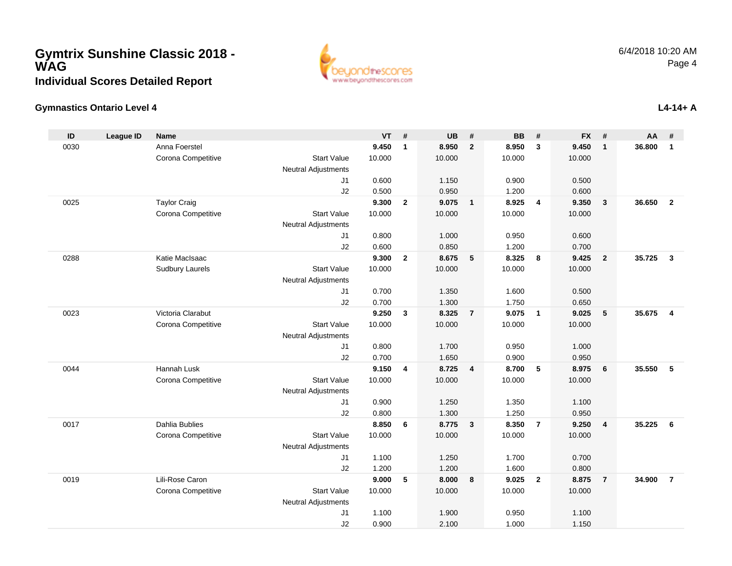

#### **Gymnastics Ontario Level 4**

| ID   | <b>League ID</b> | <b>Name</b>            |                            | <b>VT</b> | #              | <b>UB</b> | #                       | <b>BB</b>      | #              | <b>FX</b> | #                       | <b>AA</b> | #              |
|------|------------------|------------------------|----------------------------|-----------|----------------|-----------|-------------------------|----------------|----------------|-----------|-------------------------|-----------|----------------|
| 0030 |                  | Anna Foerstel          |                            | 9.450     | $\mathbf{1}$   | 8.950     | $\overline{2}$          | 8.950          | $\mathbf{3}$   | 9.450     | $\mathbf{1}$            | 36.800    | $\mathbf{1}$   |
|      |                  | Corona Competitive     | <b>Start Value</b>         | 10.000    |                | 10.000    |                         | 10.000         |                | 10.000    |                         |           |                |
|      |                  |                        | <b>Neutral Adjustments</b> |           |                |           |                         |                |                |           |                         |           |                |
|      |                  |                        | J1                         | 0.600     |                | 1.150     |                         | 0.900          |                | 0.500     |                         |           |                |
|      |                  |                        | J2                         | 0.500     |                | 0.950     |                         | 1.200          |                | 0.600     |                         |           |                |
| 0025 |                  | <b>Taylor Craig</b>    |                            | 9.300     | $\mathbf{2}$   | 9.075     | $\overline{\mathbf{1}}$ | 8.925          | $\overline{4}$ | 9.350     | 3                       | 36.650    | $\overline{2}$ |
|      |                  | Corona Competitive     | <b>Start Value</b>         | 10.000    |                | 10.000    |                         | 10.000         |                | 10.000    |                         |           |                |
|      |                  |                        | <b>Neutral Adjustments</b> |           |                |           |                         |                |                |           |                         |           |                |
|      |                  |                        | J <sub>1</sub>             | 0.800     |                | 1.000     |                         | 0.950          |                | 0.600     |                         |           |                |
|      |                  |                        | J2                         | 0.600     |                | 0.850     |                         | 1.200          |                | 0.700     |                         |           |                |
| 0288 |                  | Katie MacIsaac         |                            | 9.300     | $\mathbf{2}$   | 8.675     | 5                       | 8.325          | 8              | 9.425     | $\overline{2}$          | 35.725    | $\overline{3}$ |
|      |                  | <b>Sudbury Laurels</b> | <b>Start Value</b>         | 10.000    |                | 10.000    |                         | 10.000         |                | 10.000    |                         |           |                |
|      |                  |                        | <b>Neutral Adjustments</b> |           |                |           |                         |                |                |           |                         |           |                |
|      |                  |                        | J1                         | 0.700     |                | 1.350     |                         | 1.600          |                | 0.500     |                         |           |                |
|      |                  |                        | J2                         | 0.700     |                | 1.300     |                         | 1.750          |                | 0.650     |                         |           |                |
| 0023 |                  | Victoria Clarabut      |                            | 9.250     | 3              | 8.325     | $\overline{7}$          | 9.075          | $\overline{1}$ | 9.025     | 5                       | 35.675    | $\overline{4}$ |
|      |                  | Corona Competitive     | <b>Start Value</b>         | 10.000    |                | 10.000    |                         | 10.000         |                | 10.000    |                         |           |                |
|      |                  |                        | <b>Neutral Adjustments</b> |           |                |           |                         |                |                |           |                         |           |                |
|      |                  |                        | J <sub>1</sub>             | 0.800     |                | 1.700     |                         | 0.950          |                | 1.000     |                         |           |                |
|      |                  |                        | J2                         | 0.700     |                | 1.650     |                         | 0.900          |                | 0.950     |                         |           |                |
| 0044 |                  | Hannah Lusk            |                            | 9.150     | $\overline{4}$ | 8.725     | $\overline{4}$          | 8.700          | -5             | 8.975     | 6                       | 35.550    | 5              |
|      |                  | Corona Competitive     | <b>Start Value</b>         | 10.000    |                | 10.000    |                         | 10.000         |                | 10.000    |                         |           |                |
|      |                  |                        | <b>Neutral Adjustments</b> |           |                |           |                         |                |                |           |                         |           |                |
|      |                  |                        | J <sub>1</sub>             | 0.900     |                | 1.250     |                         | 1.350          |                | 1.100     |                         |           |                |
|      |                  | <b>Dahlia Bublies</b>  | J2                         | 0.800     |                | 1.300     |                         | 1.250          |                | 0.950     |                         |           |                |
| 0017 |                  |                        |                            | 8.850     | 6              | 8.775     | $\overline{\mathbf{3}}$ | 8.350          | $\overline{7}$ | 9.250     | $\overline{\mathbf{4}}$ | 35.225    | 6              |
|      |                  | Corona Competitive     | <b>Start Value</b>         | 10.000    |                | 10.000    |                         | 10.000         |                | 10.000    |                         |           |                |
|      |                  |                        | <b>Neutral Adjustments</b> | 1.100     |                | 1.250     |                         | 1.700          |                | 0.700     |                         |           |                |
|      |                  |                        | J1<br>J2                   | 1.200     |                | 1.200     |                         |                |                | 0.800     |                         |           |                |
| 0019 |                  | Lili-Rose Caron        |                            | 9.000     | 5              | 8.000     | 8                       | 1.600<br>9.025 | $\overline{2}$ | 8.875     | $\overline{7}$          | 34.900    | $\overline{7}$ |
|      |                  | Corona Competitive     | <b>Start Value</b>         | 10.000    |                | 10.000    |                         | 10.000         |                |           |                         |           |                |
|      |                  |                        | <b>Neutral Adjustments</b> |           |                |           |                         |                |                | 10.000    |                         |           |                |
|      |                  |                        | J <sub>1</sub>             | 1.100     |                | 1.900     |                         | 0.950          |                | 1.100     |                         |           |                |
|      |                  |                        | J2                         | 0.900     |                | 2.100     |                         | 1.000          |                | 1.150     |                         |           |                |
|      |                  |                        |                            |           |                |           |                         |                |                |           |                         |           |                |

### **L4-14+ A**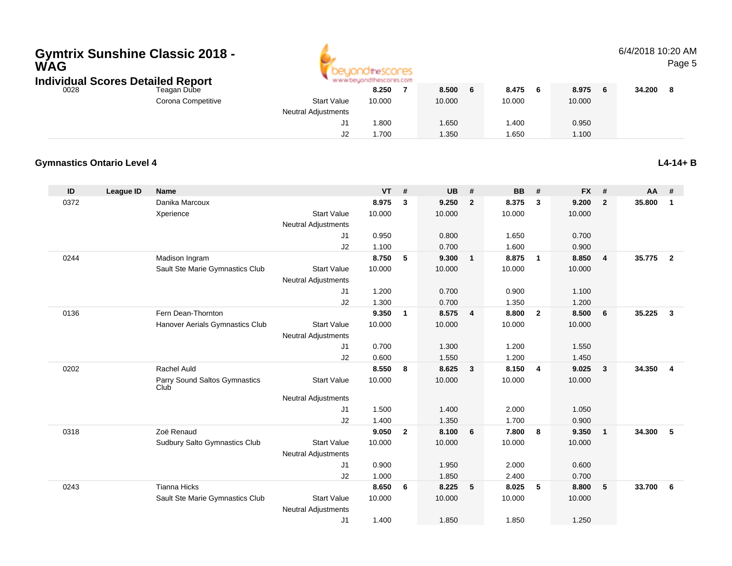

#### 6/4/2018 10:20 AMPage 5

| Individual Scores Detailed Report |                    |                            | www.beyondthescores.com |        |   |        |        |        |  |
|-----------------------------------|--------------------|----------------------------|-------------------------|--------|---|--------|--------|--------|--|
| 0028                              | Teagan Dube        |                            | 8.250                   | 8.500  | 6 | 8.475  | 8.975  | 34.200 |  |
|                                   | Corona Competitive | <b>Start Value</b>         | 10.000                  | 10.000 |   | 10.000 | 10.000 |        |  |
|                                   |                    | <b>Neutral Adjustments</b> |                         |        |   |        |        |        |  |
|                                   |                    | ັບ                         | .800                    | 1.650  |   | .400   | 0.950  |        |  |
|                                   |                    | ∠∪                         | .700                    | 1.350  |   | .650   | 1.100  |        |  |

#### **Gymnastics Ontario Level 4L4-14+ B**

| ID   | <b>League ID</b> | <b>Name</b>                           |                            | <b>VT</b> | #            | <b>UB</b> | #              | <b>BB</b> | #                       | <b>FX</b> | #                       | <b>AA</b> | #                       |
|------|------------------|---------------------------------------|----------------------------|-----------|--------------|-----------|----------------|-----------|-------------------------|-----------|-------------------------|-----------|-------------------------|
| 0372 |                  | Danika Marcoux                        |                            | 8.975     | 3            | 9.250     | $\overline{2}$ | 8.375     | 3                       | 9.200     | $\overline{2}$          | 35.800    | $\mathbf{1}$            |
|      |                  | Xperience                             | <b>Start Value</b>         | 10.000    |              | 10.000    |                | 10.000    |                         | 10.000    |                         |           |                         |
|      |                  |                                       | <b>Neutral Adjustments</b> |           |              |           |                |           |                         |           |                         |           |                         |
|      |                  |                                       | J1                         | 0.950     |              | 0.800     |                | 1.650     |                         | 0.700     |                         |           |                         |
|      |                  |                                       | J2                         | 1.100     |              | 0.700     |                | 1.600     |                         | 0.900     |                         |           |                         |
| 0244 |                  | Madison Ingram                        |                            | 8.750     | 5            | 9.300     | $\mathbf{1}$   | 8.875     | $\overline{1}$          | 8.850     | $\overline{4}$          | 35.775    | $\overline{2}$          |
|      |                  | Sault Ste Marie Gymnastics Club       | <b>Start Value</b>         | 10.000    |              | 10.000    |                | 10.000    |                         | 10.000    |                         |           |                         |
|      |                  |                                       | <b>Neutral Adjustments</b> |           |              |           |                |           |                         |           |                         |           |                         |
|      |                  |                                       | J1                         | 1.200     |              | 0.700     |                | 0.900     |                         | 1.100     |                         |           |                         |
|      |                  |                                       | J2                         | 1.300     |              | 0.700     |                | 1.350     |                         | 1.200     |                         |           |                         |
| 0136 |                  | Fern Dean-Thornton                    |                            | 9.350     | $\mathbf{1}$ | 8.575     | $\overline{4}$ | 8.800     | $\overline{\mathbf{2}}$ | 8.500     | 6                       | 35.225    | 3                       |
|      |                  | Hanover Aerials Gymnastics Club       | <b>Start Value</b>         | 10.000    |              | 10.000    |                | 10.000    |                         | 10.000    |                         |           |                         |
|      |                  |                                       | <b>Neutral Adjustments</b> |           |              |           |                |           |                         |           |                         |           |                         |
|      |                  |                                       | J1                         | 0.700     |              | 1.300     |                | 1.200     |                         | 1.550     |                         |           |                         |
|      |                  |                                       | J2                         | 0.600     |              | 1.550     |                | 1.200     |                         | 1.450     |                         |           |                         |
| 0202 |                  | Rachel Auld                           |                            | 8.550     | 8            | 8.625     | $\mathbf{3}$   | 8.150     | $\overline{\mathbf{4}}$ | 9.025     | $\overline{\mathbf{3}}$ | 34.350    | $\overline{\mathbf{4}}$ |
|      |                  | Parry Sound Saltos Gymnastics<br>Club | <b>Start Value</b>         | 10.000    |              | 10.000    |                | 10.000    |                         | 10.000    |                         |           |                         |
|      |                  |                                       | <b>Neutral Adjustments</b> |           |              |           |                |           |                         |           |                         |           |                         |
|      |                  |                                       | J1                         | 1.500     |              | 1.400     |                | 2.000     |                         | 1.050     |                         |           |                         |
|      |                  |                                       | J2                         | 1.400     |              | 1.350     |                | 1.700     |                         | 0.900     |                         |           |                         |
| 0318 |                  | Zoë Renaud                            |                            | 9.050     | $\mathbf{2}$ | 8.100     | 6              | 7.800     | 8                       | 9.350     | $\overline{1}$          | 34.300    | 5                       |
|      |                  | Sudbury Salto Gymnastics Club         | <b>Start Value</b>         | 10.000    |              | 10.000    |                | 10.000    |                         | 10.000    |                         |           |                         |
|      |                  |                                       | <b>Neutral Adjustments</b> |           |              |           |                |           |                         |           |                         |           |                         |
|      |                  |                                       | J1                         | 0.900     |              | 1.950     |                | 2.000     |                         | 0.600     |                         |           |                         |
|      |                  |                                       | J2                         | 1.000     |              | 1.850     |                | 2.400     |                         | 0.700     |                         |           |                         |
| 0243 |                  | <b>Tianna Hicks</b>                   |                            | 8.650     | 6            | 8.225     | 5              | 8.025     | 5                       | 8.800     | 5                       | 33.700    | 6                       |
|      |                  | Sault Ste Marie Gymnastics Club       | <b>Start Value</b>         | 10.000    |              | 10.000    |                | 10.000    |                         | 10.000    |                         |           |                         |
|      |                  |                                       | <b>Neutral Adjustments</b> |           |              |           |                |           |                         |           |                         |           |                         |
|      |                  |                                       | J <sub>1</sub>             | 1.400     |              | 1.850     |                | 1.850     |                         | 1.250     |                         |           |                         |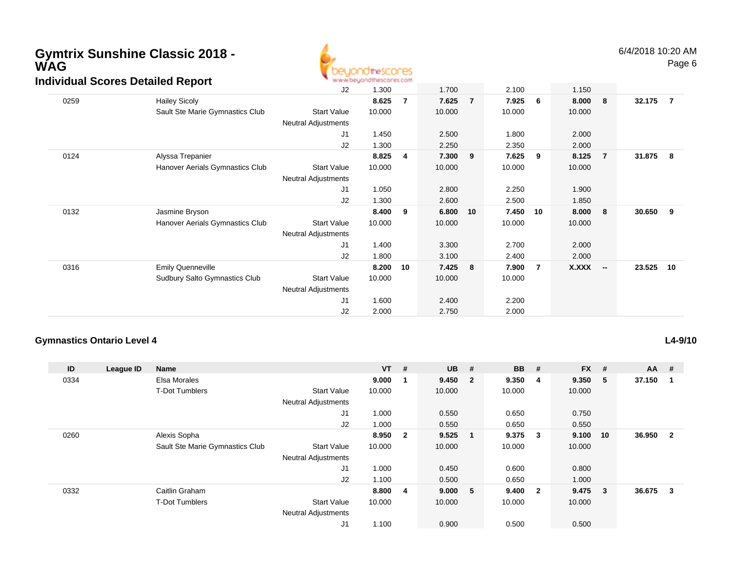

6/4/2018 10:20 AMPage 6

|      | arriadar ocores Detanea Report       |                            |        |                |        |                |        |                 |        |                |        |                |
|------|--------------------------------------|----------------------------|--------|----------------|--------|----------------|--------|-----------------|--------|----------------|--------|----------------|
|      |                                      | J2                         | 1.300  |                | 1.700  |                | 2.100  |                 | 1.150  |                |        |                |
| 0259 | <b>Hailey Sicoly</b>                 |                            | 8.625  | $\overline{7}$ | 7.625  | $\overline{7}$ | 7.925  | $6\overline{6}$ | 8.000  | - 8            | 32.175 | $\overline{7}$ |
|      | Sault Ste Marie Gymnastics Club      | Start Value                | 10.000 |                | 10.000 |                | 10.000 |                 | 10.000 |                |        |                |
|      |                                      | Neutral Adjustments        |        |                |        |                |        |                 |        |                |        |                |
|      |                                      | J1                         | 1.450  |                | 2.500  |                | 1.800  |                 | 2.000  |                |        |                |
|      |                                      | J2                         | 1.300  |                | 2.250  |                | 2.350  |                 | 2.000  |                |        |                |
| 0124 | Alyssa Trepanier                     |                            | 8.825  | 4              | 7.300  | 9              | 7.625  | - 9             | 8.125  | $\overline{7}$ | 31.875 | -8             |
|      | Hanover Aerials Gymnastics Club      | <b>Start Value</b>         | 10.000 |                | 10.000 |                | 10.000 |                 | 10.000 |                |        |                |
|      |                                      | Neutral Adjustments        |        |                |        |                |        |                 |        |                |        |                |
|      |                                      | J <sub>1</sub>             | 1.050  |                | 2.800  |                | 2.250  |                 | 1.900  |                |        |                |
|      |                                      | J2                         | 1.300  |                | 2.600  |                | 2.500  |                 | 1.850  |                |        |                |
| 0132 | Jasmine Bryson                       |                            | 8.400  | 9              | 6.800  | 10             | 7.450  | 10              | 8.000  | - 8            | 30.650 | 9              |
|      | Hanover Aerials Gymnastics Club      | <b>Start Value</b>         | 10.000 |                | 10.000 |                | 10.000 |                 | 10.000 |                |        |                |
|      |                                      | <b>Neutral Adjustments</b> |        |                |        |                |        |                 |        |                |        |                |
|      |                                      | J1                         | 1.400  |                | 3.300  |                | 2.700  |                 | 2.000  |                |        |                |
|      |                                      | J2                         | 1.800  |                | 3.100  |                | 2.400  |                 | 2.000  |                |        |                |
| 0316 | <b>Emily Quenneville</b>             |                            | 8.200  | 10             | 7.425  | - 8            | 7.900  | $\overline{7}$  | X.XXX  | $\sim$         | 23.525 | 10             |
|      | <b>Sudbury Salto Gymnastics Club</b> | <b>Start Value</b>         | 10.000 |                | 10.000 |                | 10.000 |                 |        |                |        |                |
|      |                                      | Neutral Adjustments        |        |                |        |                |        |                 |        |                |        |                |
|      |                                      | J1                         | 1.600  |                | 2.400  |                | 2.200  |                 |        |                |        |                |
|      |                                      | J2                         | 2.000  |                | 2.750  |                | 2.000  |                 |        |                |        |                |
|      |                                      |                            |        |                |        |                |        |                 |        |                |        |                |

#### **Gymnastics Ontario Level 4**

**L4-9/10**

| ID   | League ID | <b>Name</b>                     |                            | $VT$ # |                         | <b>UB</b> | #                        | <b>BB</b> | #                       | <b>FX</b> | #  | $AA$ # |                |
|------|-----------|---------------------------------|----------------------------|--------|-------------------------|-----------|--------------------------|-----------|-------------------------|-----------|----|--------|----------------|
| 0334 |           | Elsa Morales                    |                            | 9.000  |                         | 9.450     | $\overline{\mathbf{2}}$  | 9.350     | -4                      | 9.350     | 5  | 37.150 |                |
|      |           | <b>T-Dot Tumblers</b>           | <b>Start Value</b>         | 10.000 |                         | 10.000    |                          | 10.000    |                         | 10.000    |    |        |                |
|      |           |                                 | <b>Neutral Adjustments</b> |        |                         |           |                          |           |                         |           |    |        |                |
|      |           |                                 | J <sub>1</sub>             | 1.000  |                         | 0.550     |                          | 0.650     |                         | 0.750     |    |        |                |
|      |           |                                 | J2                         | 1.000  |                         | 0.550     |                          | 0.650     |                         | 0.550     |    |        |                |
| 0260 |           | Alexis Sopha                    |                            | 8.950  | $\overline{\mathbf{2}}$ | 9.525     | $\overline{\phantom{0}}$ | 9.375     | $\overline{\mathbf{3}}$ | 9.100     | 10 | 36.950 | $\overline{2}$ |
|      |           | Sault Ste Marie Gymnastics Club | <b>Start Value</b>         | 10.000 |                         | 10.000    |                          | 10.000    |                         | 10.000    |    |        |                |
|      |           |                                 | <b>Neutral Adjustments</b> |        |                         |           |                          |           |                         |           |    |        |                |
|      |           |                                 | J <sub>1</sub>             | 1.000  |                         | 0.450     |                          | 0.600     |                         | 0.800     |    |        |                |
|      |           |                                 | J2                         | 1.100  |                         | 0.500     |                          | 0.650     |                         | 1.000     |    |        |                |
| 0332 |           | Caitlin Graham                  |                            | 8.800  | -4                      | 9.000 5   |                          | 9.400     | $\overline{\mathbf{2}}$ | 9.475     | 3  | 36.675 | 3              |
|      |           | <b>T-Dot Tumblers</b>           | <b>Start Value</b>         | 10.000 |                         | 10.000    |                          | 10.000    |                         | 10.000    |    |        |                |
|      |           |                                 | <b>Neutral Adjustments</b> |        |                         |           |                          |           |                         |           |    |        |                |
|      |           |                                 | J1                         | 1.100  |                         | 0.900     |                          | 0.500     |                         | 0.500     |    |        |                |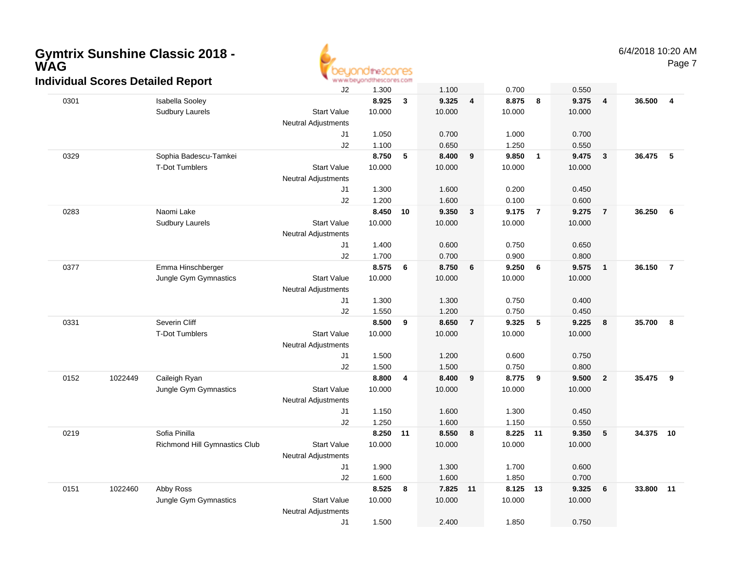

Page 7

|      |         | dividual Ocoles Detailed Report |                            |        |    |          |                  |          |                |        |                         |           |                |
|------|---------|---------------------------------|----------------------------|--------|----|----------|------------------|----------|----------------|--------|-------------------------|-----------|----------------|
|      |         |                                 | J2                         | 1.300  |    | 1.100    |                  | 0.700    |                | 0.550  |                         |           |                |
| 0301 |         | Isabella Sooley                 |                            | 8.925  | 3  | 9.325    | 4                | 8.875    | 8              | 9.375  | $\overline{\mathbf{4}}$ | 36.500    | $\overline{4}$ |
|      |         | <b>Sudbury Laurels</b>          | <b>Start Value</b>         | 10.000 |    | 10.000   |                  | 10.000   |                | 10.000 |                         |           |                |
|      |         |                                 | Neutral Adjustments        |        |    |          |                  |          |                |        |                         |           |                |
|      |         |                                 | J1                         | 1.050  |    | 0.700    |                  | 1.000    |                | 0.700  |                         |           |                |
|      |         |                                 | J2                         | 1.100  |    | 0.650    |                  | 1.250    |                | 0.550  |                         |           |                |
| 0329 |         | Sophia Badescu-Tamkei           |                            | 8.750  | 5  | 8.400    | 9                | 9.850    | $\overline{1}$ | 9.475  | $\overline{\mathbf{3}}$ | 36.475 5  |                |
|      |         | <b>T-Dot Tumblers</b>           | <b>Start Value</b>         | 10.000 |    | 10.000   |                  | 10.000   |                | 10.000 |                         |           |                |
|      |         |                                 | Neutral Adjustments        |        |    |          |                  |          |                |        |                         |           |                |
|      |         |                                 | J1                         | 1.300  |    | 1.600    |                  | 0.200    |                | 0.450  |                         |           |                |
|      |         |                                 | J2                         | 1.200  |    | 1.600    |                  | 0.100    |                | 0.600  |                         |           |                |
| 0283 |         | Naomi Lake                      |                            | 8.450  | 10 | 9.350    | 3                | 9.175    | $\overline{7}$ | 9.275  | $\overline{7}$          | 36.250    | 6              |
|      |         | Sudbury Laurels                 | <b>Start Value</b>         | 10.000 |    | 10.000   |                  | 10.000   |                | 10.000 |                         |           |                |
|      |         |                                 | <b>Neutral Adjustments</b> |        |    |          |                  |          |                |        |                         |           |                |
|      |         |                                 | J1                         | 1.400  |    | 0.600    |                  | 0.750    |                | 0.650  |                         |           |                |
|      |         |                                 | J2                         | 1.700  |    | 0.700    |                  | 0.900    |                | 0.800  |                         |           |                |
| 0377 |         | Emma Hinschberger               |                            | 8.575  | 6  | 8.750    | 6                | 9.250    | 6              | 9.575  | $\overline{\mathbf{1}}$ | 36.150    | $\overline{7}$ |
|      |         | Jungle Gym Gymnastics           | <b>Start Value</b>         | 10.000 |    | 10.000   |                  | 10.000   |                | 10.000 |                         |           |                |
|      |         |                                 | <b>Neutral Adjustments</b> |        |    |          |                  |          |                |        |                         |           |                |
|      |         |                                 | J1                         | 1.300  |    | 1.300    |                  | 0.750    |                | 0.400  |                         |           |                |
|      |         |                                 | J2                         | 1.550  |    | 1.200    |                  | 0.750    |                | 0.450  |                         |           |                |
| 0331 |         | Severin Cliff                   |                            | 8.500  | 9  | 8.650    | $\overline{7}$   | 9.325    | 5              | 9.225  | 8                       | 35.700    | 8              |
|      |         | <b>T-Dot Tumblers</b>           | <b>Start Value</b>         | 10.000 |    | 10.000   |                  | 10.000   |                | 10.000 |                         |           |                |
|      |         |                                 | <b>Neutral Adjustments</b> |        |    |          |                  |          |                |        |                         |           |                |
|      |         |                                 | J1                         | 1.500  |    | 1.200    |                  | 0.600    |                | 0.750  |                         |           |                |
|      |         |                                 | J2                         | 1.500  |    | 1.500    |                  | 0.750    |                | 0.800  |                         |           |                |
| 0152 | 1022449 | Caileigh Ryan                   |                            | 8.800  | 4  | 8.400    | $\boldsymbol{9}$ | 8.775    | 9              | 9.500  | $\overline{\mathbf{2}}$ | 35.475    | 9              |
|      |         | Jungle Gym Gymnastics           | <b>Start Value</b>         | 10.000 |    | 10.000   |                  | 10.000   |                | 10.000 |                         |           |                |
|      |         |                                 | <b>Neutral Adjustments</b> |        |    |          |                  |          |                |        |                         |           |                |
|      |         |                                 | J1                         | 1.150  |    | 1.600    |                  | 1.300    |                | 0.450  |                         |           |                |
|      |         |                                 | J2                         | 1.250  |    | 1.600    |                  | 1.150    |                | 0.550  |                         |           |                |
| 0219 |         | Sofia Pinilla                   |                            | 8.250  | 11 | 8.550    | 8                | 8.225 11 |                | 9.350  | 5                       | 34.375 10 |                |
|      |         | Richmond Hill Gymnastics Club   | <b>Start Value</b>         | 10.000 |    | 10.000   |                  | 10.000   |                | 10.000 |                         |           |                |
|      |         |                                 | <b>Neutral Adjustments</b> |        |    |          |                  |          |                |        |                         |           |                |
|      |         |                                 | J1                         | 1.900  |    | 1.300    |                  | 1.700    |                | 0.600  |                         |           |                |
|      |         |                                 | J2                         | 1.600  |    | 1.600    |                  | 1.850    |                | 0.700  |                         |           |                |
| 0151 | 1022460 | Abby Ross                       |                            | 8.525  | 8  | 7.825 11 |                  | 8.125 13 |                | 9.325  | 6                       | 33.800    | 11             |
|      |         | Jungle Gym Gymnastics           | <b>Start Value</b>         | 10.000 |    | 10.000   |                  | 10.000   |                | 10.000 |                         |           |                |
|      |         |                                 | Neutral Adjustments        |        |    |          |                  |          |                |        |                         |           |                |
|      |         |                                 | J1                         | 1.500  |    | 2.400    |                  | 1.850    |                | 0.750  |                         |           |                |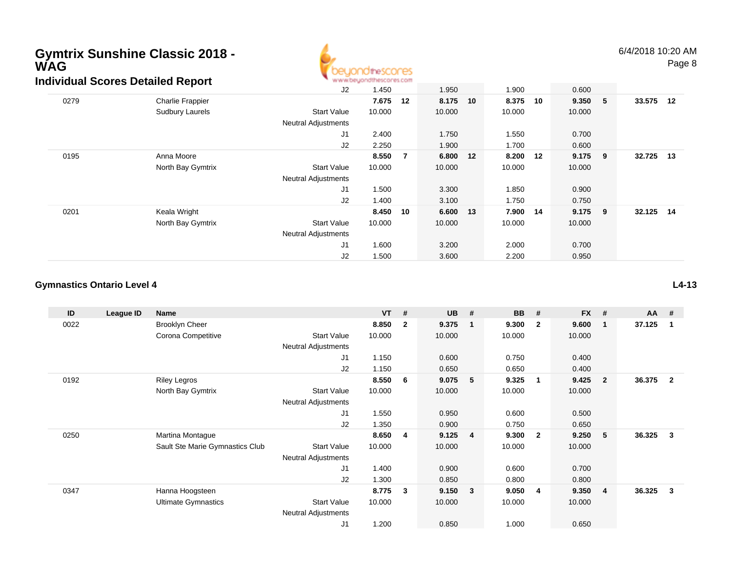

6/4/2018 10:20 AMPage 8

|      | <u>idividual Scores Detailed Report</u> |                            | and and an another particle and an anti-transportant on the formation |    |        |    |        |    |           |   |           |  |
|------|-----------------------------------------|----------------------------|-----------------------------------------------------------------------|----|--------|----|--------|----|-----------|---|-----------|--|
|      |                                         | J2                         | 1.450                                                                 |    | 1.950  |    | 1.900  |    | 0.600     |   |           |  |
| 0279 | <b>Charlie Frappier</b>                 |                            | 7.675                                                                 | 12 | 8.175  | 10 | 8.375  | 10 | 9.350     | 5 | 33.575 12 |  |
|      | Sudbury Laurels                         | <b>Start Value</b>         | 10.000                                                                |    | 10.000 |    | 10.000 |    | 10.000    |   |           |  |
|      |                                         | <b>Neutral Adjustments</b> |                                                                       |    |        |    |        |    |           |   |           |  |
|      |                                         | J1                         | 2.400                                                                 |    | 1.750  |    | 1.550  |    | 0.700     |   |           |  |
|      |                                         | J2                         | 2.250                                                                 |    | 1.900  |    | 1.700  |    | 0.600     |   |           |  |
| 0195 | Anna Moore                              |                            | 8.550                                                                 | -7 | 6.800  | 12 | 8.200  | 12 | $9.175$ 9 |   | 32.725 13 |  |
|      | North Bay Gymtrix                       | <b>Start Value</b>         | 10.000                                                                |    | 10.000 |    | 10.000 |    | 10.000    |   |           |  |
|      |                                         | <b>Neutral Adjustments</b> |                                                                       |    |        |    |        |    |           |   |           |  |
|      |                                         | J <sub>1</sub>             | 1.500                                                                 |    | 3.300  |    | 1.850  |    | 0.900     |   |           |  |
|      |                                         | J2                         | 1.400                                                                 |    | 3.100  |    | 1.750  |    | 0.750     |   |           |  |
| 0201 | Keala Wright                            |                            | 8.450                                                                 | 10 | 6.600  | 13 | 7.900  | 14 | $9.175$ 9 |   | 32.125 14 |  |
|      | North Bay Gymtrix                       | <b>Start Value</b>         | 10.000                                                                |    | 10.000 |    | 10.000 |    | 10.000    |   |           |  |
|      |                                         | <b>Neutral Adjustments</b> |                                                                       |    |        |    |        |    |           |   |           |  |
|      |                                         | J <sub>1</sub>             | 1.600                                                                 |    | 3.200  |    | 2.000  |    | 0.700     |   |           |  |
|      |                                         | J2                         | 1.500                                                                 |    | 3.600  |    | 2.200  |    | 0.950     |   |           |  |

#### **Gymnastics Ontario Level 4**

| ID   | League ID | Name                            |                            | $VT$ # |              | <b>UB</b> | #                       | BB     | #                       | <b>FX</b> | #              | $AA$ # |                |
|------|-----------|---------------------------------|----------------------------|--------|--------------|-----------|-------------------------|--------|-------------------------|-----------|----------------|--------|----------------|
| 0022 |           | <b>Brooklyn Cheer</b>           |                            | 8.850  | $\mathbf{2}$ | 9.375     | $\overline{\mathbf{1}}$ | 9.300  | $\overline{2}$          | 9.600     | -1             | 37.125 | 1              |
|      |           | Corona Competitive              | <b>Start Value</b>         | 10.000 |              | 10.000    |                         | 10.000 |                         | 10.000    |                |        |                |
|      |           |                                 | Neutral Adjustments        |        |              |           |                         |        |                         |           |                |        |                |
|      |           |                                 | J1                         | 1.150  |              | 0.600     |                         | 0.750  |                         | 0.400     |                |        |                |
|      |           |                                 | J2                         | 1.150  |              | 0.650     |                         | 0.650  |                         | 0.400     |                |        |                |
| 0192 |           | <b>Riley Legros</b>             |                            | 8.550  | 6            | 9.075     | 5                       | 9.325  | - 1                     | 9.425     | $\mathbf{2}$   | 36.375 | $\overline{2}$ |
|      |           | North Bay Gymtrix               | <b>Start Value</b>         | 10.000 |              | 10.000    |                         | 10.000 |                         | 10.000    |                |        |                |
|      |           |                                 | <b>Neutral Adjustments</b> |        |              |           |                         |        |                         |           |                |        |                |
|      |           |                                 | J1                         | 1.550  |              | 0.950     |                         | 0.600  |                         | 0.500     |                |        |                |
|      |           |                                 | J2                         | 1.350  |              | 0.900     |                         | 0.750  |                         | 0.650     |                |        |                |
| 0250 |           | Martina Montague                |                            | 8.650  | 4            | 9.125     | $\overline{4}$          | 9.300  | $\overline{\mathbf{2}}$ | 9.250     | 5              | 36.325 | 3              |
|      |           | Sault Ste Marie Gymnastics Club | <b>Start Value</b>         | 10.000 |              | 10.000    |                         | 10.000 |                         | 10.000    |                |        |                |
|      |           |                                 | <b>Neutral Adjustments</b> |        |              |           |                         |        |                         |           |                |        |                |
|      |           |                                 | J1                         | 1.400  |              | 0.900     |                         | 0.600  |                         | 0.700     |                |        |                |
|      |           |                                 | J2                         | 1.300  |              | 0.850     |                         | 0.800  |                         | 0.800     |                |        |                |
| 0347 |           | Hanna Hoogsteen                 |                            | 8.775  | 3            | 9.150     | $\overline{\mathbf{3}}$ | 9.050  | -4                      | 9.350     | $\overline{4}$ | 36.325 | 3              |
|      |           | <b>Ultimate Gymnastics</b>      | <b>Start Value</b>         | 10.000 |              | 10.000    |                         | 10.000 |                         | 10.000    |                |        |                |
|      |           |                                 | <b>Neutral Adjustments</b> |        |              |           |                         |        |                         |           |                |        |                |
|      |           |                                 | J <sub>1</sub>             | 1.200  |              | 0.850     |                         | 1.000  |                         | 0.650     |                |        |                |

**L4-13**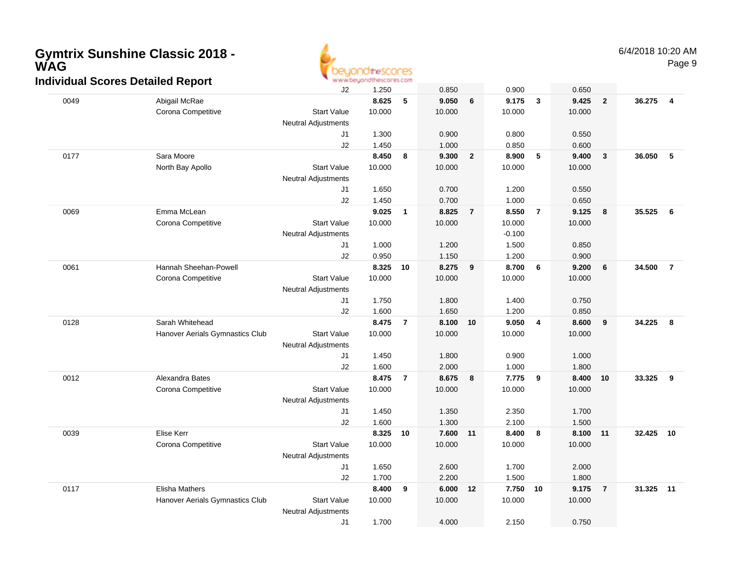

|      | Individual Scores Detailed Report |                            | www.beyondthescores.com |                |        |                |          |                |          |                         |           |                 |
|------|-----------------------------------|----------------------------|-------------------------|----------------|--------|----------------|----------|----------------|----------|-------------------------|-----------|-----------------|
|      |                                   | J2                         | 1.250                   |                | 0.850  |                | 0.900    |                | 0.650    |                         |           |                 |
| 0049 | Abigail McRae                     |                            | 8.625                   | 5              | 9.050  | 6              | 9.175    | 3              | 9.425    | $\overline{\mathbf{2}}$ | 36.275    | 4               |
|      | Corona Competitive                | <b>Start Value</b>         | 10.000                  |                | 10.000 |                | 10.000   |                | 10.000   |                         |           |                 |
|      |                                   | Neutral Adjustments        |                         |                |        |                |          |                |          |                         |           |                 |
|      |                                   | J <sub>1</sub>             | 1.300                   |                | 0.900  |                | 0.800    |                | 0.550    |                         |           |                 |
|      |                                   | J2                         | 1.450                   |                | 1.000  |                | 0.850    |                | 0.600    |                         |           |                 |
| 0177 | Sara Moore                        |                            | 8.450                   | 8              | 9.300  | $\overline{2}$ | 8.900    | 5              | 9.400    | $\overline{\mathbf{3}}$ | 36.050    | $5\phantom{.0}$ |
|      | North Bay Apollo                  | <b>Start Value</b>         | 10.000                  |                | 10.000 |                | 10.000   |                | 10.000   |                         |           |                 |
|      |                                   | <b>Neutral Adjustments</b> |                         |                |        |                |          |                |          |                         |           |                 |
|      |                                   | J1                         | 1.650                   |                | 0.700  |                | 1.200    |                | 0.550    |                         |           |                 |
|      |                                   | J2                         | 1.450                   |                | 0.700  |                | 1.000    |                | 0.650    |                         |           |                 |
| 0069 | Emma McLean                       |                            | 9.025                   | $\overline{1}$ | 8.825  | $\overline{7}$ | 8.550    | $\overline{7}$ | 9.125    | 8                       | 35.525    | 6               |
|      | Corona Competitive                | <b>Start Value</b>         | 10.000                  |                | 10.000 |                | 10.000   |                | 10.000   |                         |           |                 |
|      |                                   | Neutral Adjustments        |                         |                |        |                | $-0.100$ |                |          |                         |           |                 |
|      |                                   | J1                         | 1.000                   |                | 1.200  |                | 1.500    |                | 0.850    |                         |           |                 |
|      |                                   | J2                         | 0.950                   |                | 1.150  |                | 1.200    |                | 0.900    |                         |           |                 |
| 0061 | Hannah Sheehan-Powell             |                            | 8.325                   | 10             | 8.275  | 9              | 8.700    | 6              | 9.200    | 6                       | 34.500    | $\overline{7}$  |
|      | Corona Competitive                | <b>Start Value</b>         | 10.000                  |                | 10.000 |                | 10.000   |                | 10.000   |                         |           |                 |
|      |                                   | <b>Neutral Adjustments</b> |                         |                |        |                |          |                |          |                         |           |                 |
|      |                                   | J1                         | 1.750                   |                | 1.800  |                | 1.400    |                | 0.750    |                         |           |                 |
|      |                                   | J2                         | 1.600                   |                | 1.650  |                | 1.200    |                | 0.850    |                         |           |                 |
| 0128 | Sarah Whitehead                   |                            | 8.475                   | $\overline{7}$ | 8.100  | 10             | 9.050    | 4              | 8.600    | 9                       | 34.225    | - 8             |
|      | Hanover Aerials Gymnastics Club   | <b>Start Value</b>         | 10.000                  |                | 10.000 |                | 10.000   |                | 10.000   |                         |           |                 |
|      |                                   | <b>Neutral Adjustments</b> |                         |                |        |                |          |                |          |                         |           |                 |
|      |                                   | J1                         | 1.450                   |                | 1.800  |                | 0.900    |                | 1.000    |                         |           |                 |
|      |                                   | J2                         | 1.600                   |                | 2.000  |                | 1.000    |                | 1.800    |                         |           |                 |
| 0012 | Alexandra Bates                   |                            | 8.475                   | $\overline{7}$ | 8.675  | 8              | 7.775    | 9              | 8.400 10 |                         | 33.325    | 9               |
|      | Corona Competitive                | <b>Start Value</b>         | 10.000                  |                | 10.000 |                | 10.000   |                | 10.000   |                         |           |                 |
|      |                                   | <b>Neutral Adjustments</b> |                         |                |        |                |          |                |          |                         |           |                 |
|      |                                   | J <sub>1</sub>             | 1.450                   |                | 1.350  |                | 2.350    |                | 1.700    |                         |           |                 |
|      |                                   | J2                         | 1.600                   |                | 1.300  |                | 2.100    |                | 1.500    |                         |           |                 |
| 0039 | Elise Kerr                        |                            | 8.325                   | 10             | 7.600  | 11             | 8.400    | 8              | 8.100 11 |                         | 32.425 10 |                 |
|      | Corona Competitive                | <b>Start Value</b>         | 10.000                  |                | 10.000 |                | 10.000   |                | 10.000   |                         |           |                 |
|      |                                   | <b>Neutral Adjustments</b> |                         |                |        |                |          |                |          |                         |           |                 |
|      |                                   | J <sub>1</sub>             | 1.650                   |                | 2.600  |                | 1.700    |                | 2.000    |                         |           |                 |
|      |                                   | J2                         | 1.700                   |                | 2.200  |                | 1.500    |                | 1.800    |                         |           |                 |
| 0117 | Elisha Mathers                    |                            | 8.400                   | 9              | 6.000  | 12             | 7.750    | 10             | 9.175    | $\overline{7}$          | 31.325 11 |                 |
|      | Hanover Aerials Gymnastics Club   | <b>Start Value</b>         | 10.000                  |                | 10.000 |                | 10.000   |                | 10.000   |                         |           |                 |
|      |                                   | <b>Neutral Adjustments</b> |                         |                |        |                |          |                |          |                         |           |                 |
|      |                                   | J <sub>1</sub>             | 1.700                   |                | 4.000  |                | 2.150    |                | 0.750    |                         |           |                 |